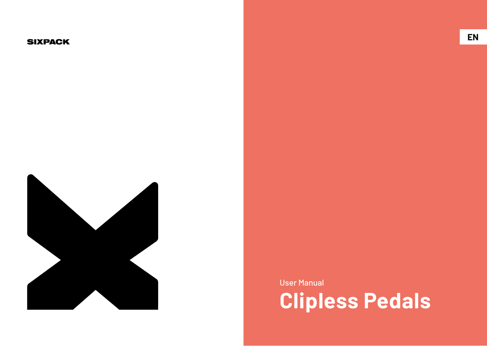#### **SIXPACK**



User Manual

**Clipless Pedals**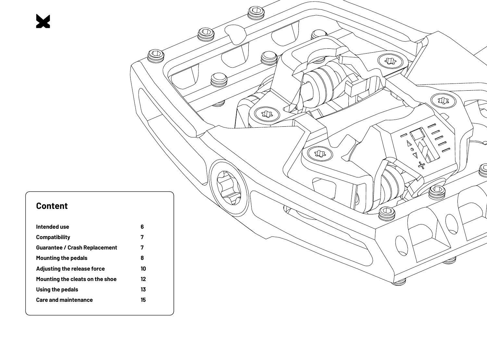# **Content**

 $\blacktriangleright$ 

| Intended use                    | 6  |
|---------------------------------|----|
| <b>Compatibility</b>            | 7  |
| Guarantee / Crash Replacement   | 7  |
| <b>Mounting the pedals</b>      | 8  |
| Adjusting the release force     | 10 |
| Mounting the cleats on the shoe | 12 |
| Using the pedals                | 13 |
| <b>Care and maintenance</b>     | 15 |
|                                 |    |

 $\circledcirc$ 

 $\mathbb{R}$ 

 $\boxtimes$ 

 $\pi$ 

. D

THE

D)

 $\hat{\mathcal{L}}$ 

 $\begin{picture}(20,20) \put(0,0){\line(1,0){10}} \put(15,0){\line(1,0){10}} \put(15,0){\line(1,0){10}} \put(15,0){\line(1,0){10}} \put(15,0){\line(1,0){10}} \put(15,0){\line(1,0){10}} \put(15,0){\line(1,0){10}} \put(15,0){\line(1,0){10}} \put(15,0){\line(1,0){10}} \put(15,0){\line(1,0){10}} \put(15,0){\line(1,0){10}} \put(15,0){\line(1$ 

 $\left( 1\right)$ 

 $\epsilon$ 

Ó

 $\bigotimes$ yer<br>D

 $\frac{1}{\sqrt{2}}$ 

THE

C<br>C

 $\textcircled{1}$ 

**Comment** 

C

 $\overline{\mathscr{P}}$  $\left(\frac{1}{\sqrt{2}}\right)$ 

 $\textcircled{1}$ 

 $\textcircled{1}$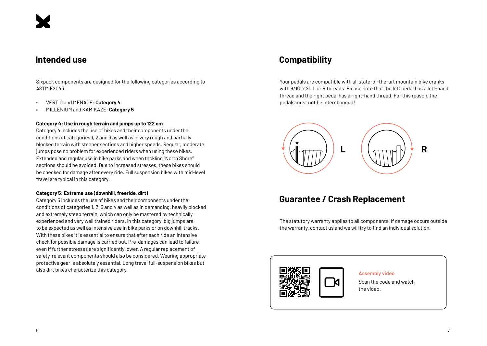### **Intended use**

Sixpack components are designed for the following categories according to ASTM F2043:

- VERTIC and MENACE: **Category 4**
- MILLENIUM and KAMIKAZE: **Category 5**

#### **Category 4: Use in rough terrain and jumps up to 122 cm**

Category 4 includes the use of bikes and their components under the conditions of categories 1, 2 and 3 as well as in very rough and partially blocked terrain with steeper sections and higher speeds. Regular, moderate jumps pose no problem for experienced riders when using these bikes. Extended and regular use in bike parks and when tackling "North Shore" sections should be avoided. Due to increased stresses, these bikes should be checked for damage after every ride. Full suspension bikes with mid-level travel are typical in this category.

#### **Category 5: Extreme use (downhill, freeride, dirt)**

Category 5 includes the use of bikes and their components under the conditions of categories 1, 2, 3 and 4 as well as in demanding, heavily blocked and extremely steep terrain, which can only be mastered by technically experienced and very well trained riders. In this category, big jumps are to be expected as well as intensive use in bike parks or on downhill tracks. With these bikes it is essential to ensure that after each ride an intensive check for possible damage is carried out. Pre-damages can lead to failure even if further stresses are significantly lower. A regular replacement of safety-relevant components should also be considered. Wearing appropriate protective gear is absolutely essential. Long travel full-suspension bikes but also dirt bikes characterize this category.

# **Compatibility**

Your pedals are compatible with all state-of-the-art mountain bike cranks with 9/16" x 20 L or R threads. Please note that the left pedal has a left-hand thread and the right pedal has a right-hand thread. For this reason, the pedals must not be interchanged!



# **Guarantee / Crash Replacement**

The statutory warranty applies to all components. If damage occurs outside the warranty, contact us and we will try to find an individual solution.



#### **Assembly video**

Scan the code and watch the video.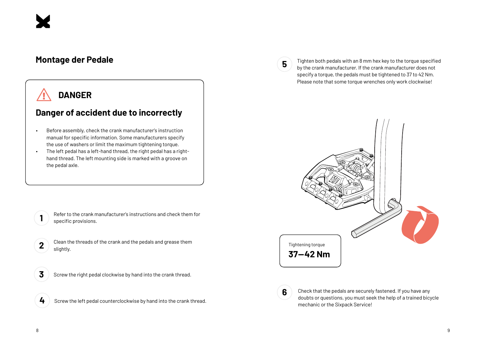### **Montage der Pedale**

# **DANGER**

# **Danger of accident due to incorrectly**

- Before assembly, check the crank manufacturer's instruction manual for specific information. Some manufacturers specify the use of washers or limit the maximum tightening torque.
- The left pedal has a left-hand thread, the right pedal has a righthand thread. The left mounting side is marked with a groove on the pedal axle.

- Refer to the crank manufacturer's instructions and check them for specific provisions.
- **2** Clean the threads of the crank and the pedals and grease them slightly.
- **3** Screw the right pedal clockwise by hand into the crank thread.
- **4** Screw the left pedal counterclockwise by hand into the crank thread.

**5**

Tighten both pedals with an 8 mm hex key to the torque specified by the crank manufacturer. If the crank manufacturer does not specify a torque, the pedals must be tightened to 37 to 42 Nm. Please note that some torque wrenches only work clockwise!





Check that the pedals are securely fastened. If you have any doubts or questions, you must seek the help of a trained bicycle mechanic or the Sixpack Service!

**1**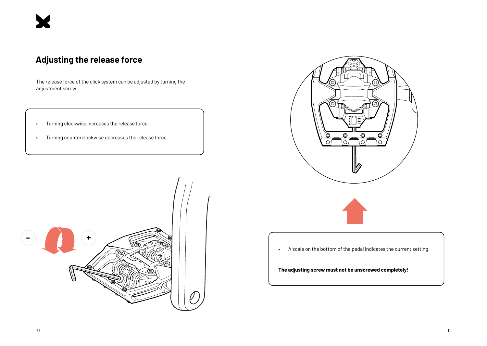# **Adjusting the release force**

The release force of the click system can be adjusted by turning the adjustment screw.

- Turning clockwise increases the release force.
- Turning counterclockwise decreases the release force.



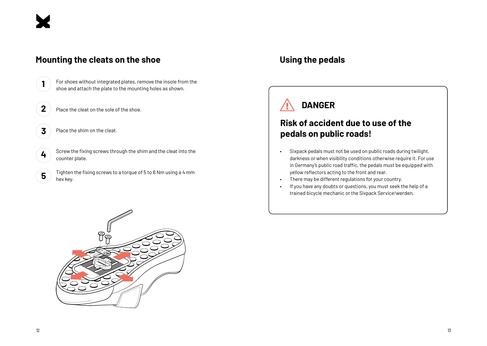

#### **Mounting the cleats on the shoe**

**2** Place the cleat on the sole of the shoe.

**3** Place the shim on the cleat.

**4** Screw the fixing screws through the shim and the cleat into the counter plate.

**1** For shoes without integrated plates, remove the insole from the shoe and attach the plate to the mounting holes as shown.

**5** Tighten the fixing screws to a torque of 5 to 6 Nm using a 4 mm hex key.

## **Using the pedals**



# **Risk of accident due to use of the pedals on public roads!**

- Sixpack pedals must not be used on public roads during twilight, darkness or when visibility conditions otherwise require it. For use in Germany's public road traffic, the pedals must be equipped with yellow reflectors acting to the front and rear.
- There may be different regulations for your country.
- If you have any doubts or questions, you must seek the help of a trained bicycle mechanic or the Sixpack Service!werden.